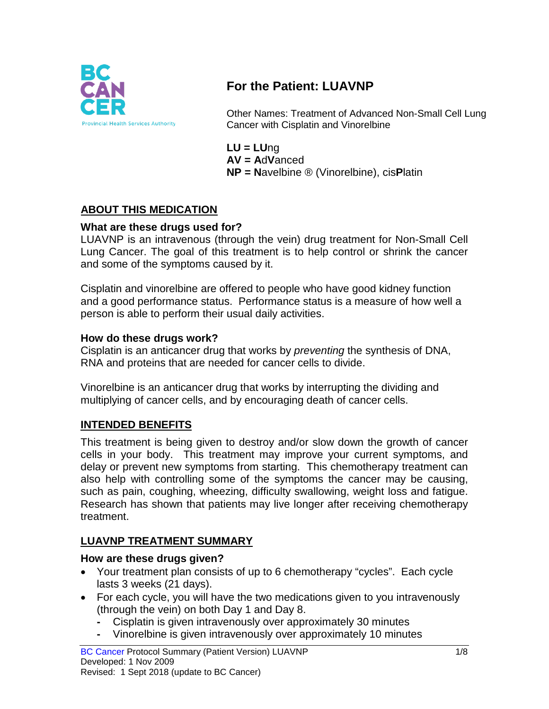

# **For the Patient: LUAVNP**

Other Names: Treatment of Advanced Non-Small Cell Lung Cancer with Cisplatin and Vinorelbine

**LU = LU**ng **AV = A**d**V**anced **NP = N**avelbine ® (Vinorelbine), cis**P**latin

## **ABOUT THIS MEDICATION**

### **What are these drugs used for?**

LUAVNP is an intravenous (through the vein) drug treatment for Non-Small Cell Lung Cancer. The goal of this treatment is to help control or shrink the cancer and some of the symptoms caused by it.

Cisplatin and vinorelbine are offered to people who have good kidney function and a good performance status. Performance status is a measure of how well a person is able to perform their usual daily activities.

### **How do these drugs work?**

Cisplatin is an anticancer drug that works by *preventing* the synthesis of DNA, RNA and proteins that are needed for cancer cells to divide.

Vinorelbine is an anticancer drug that works by interrupting the dividing and multiplying of cancer cells, and by encouraging death of cancer cells.

## **INTENDED BENEFITS**

This treatment is being given to destroy and/or slow down the growth of cancer cells in your body. This treatment may improve your current symptoms, and delay or prevent new symptoms from starting. This chemotherapy treatment can also help with controlling some of the symptoms the cancer may be causing, such as pain, coughing, wheezing, difficulty swallowing, weight loss and fatigue. Research has shown that patients may live longer after receiving chemotherapy treatment.

# **LUAVNP TREATMENT SUMMARY**

## **How are these drugs given?**

- Your treatment plan consists of up to 6 chemotherapy "cycles". Each cycle lasts 3 weeks (21 days).
- For each cycle, you will have the two medications given to you intravenously (through the vein) on both Day 1 and Day 8.
	- **-** Cisplatin is given intravenously over approximately 30 minutes
	- **-** Vinorelbine is given intravenously over approximately 10 minutes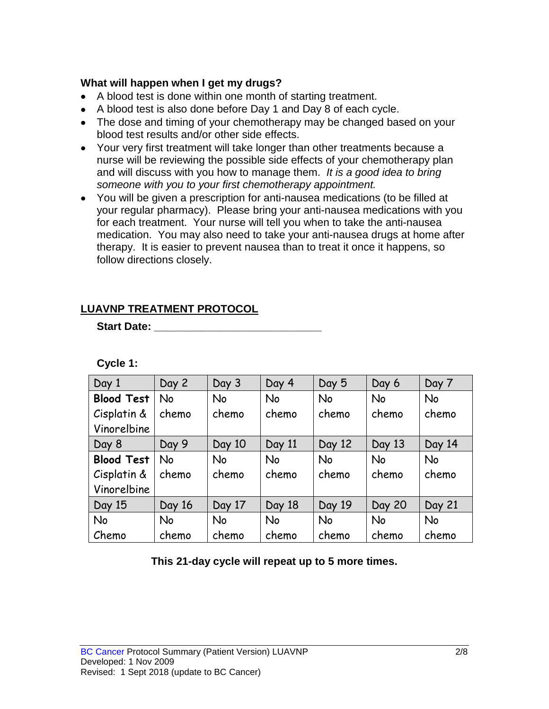### **What will happen when I get my drugs?**

- A blood test is done within one month of starting treatment.
- A blood test is also done before Day 1 and Day 8 of each cycle.
- The dose and timing of your chemotherapy may be changed based on your blood test results and/or other side effects.
- Your very first treatment will take longer than other treatments because a nurse will be reviewing the possible side effects of your chemotherapy plan and will discuss with you how to manage them. *It is a good idea to bring someone with you to your first chemotherapy appointment.*
- You will be given a prescription for anti-nausea medications (to be filled at your regular pharmacy). Please bring your anti-nausea medications with you for each treatment. Your nurse will tell you when to take the anti-nausea medication. You may also need to take your anti-nausea drugs at home after therapy. It is easier to prevent nausea than to treat it once it happens, so follow directions closely.

# **LUAVNP TREATMENT PROTOCOL**

**Start Date: \_\_\_\_\_\_\_\_\_\_\_\_\_\_\_\_\_\_\_\_\_\_\_\_\_\_\_\_\_\_\_** 

| Day 1             | Day 2     | Day 3  | Day 4     | Day 5     | Day 6         | Day 7     |
|-------------------|-----------|--------|-----------|-----------|---------------|-----------|
| <b>Blood Test</b> | <b>No</b> | No     | No        | No        | <b>No</b>     | No        |
| Cisplatin &       | chemo     | chemo  | chemo     | chemo     | chemo         | chemo     |
| Vinorelbine       |           |        |           |           |               |           |
| Day 8             | Day 9     | Day 10 | Day 11    | Day 12    | Day 13        | Day 14    |
| <b>Blood Test</b> | <b>No</b> | No     | <b>No</b> | <b>No</b> | <b>No</b>     | <b>No</b> |
| Cisplatin &       | chemo     | chemo  | chemo     | chemo     | chemo         | chemo     |
| Vinorelbine       |           |        |           |           |               |           |
| Day 15            | Day 16    | Day 17 | Day 18    | Day 19    | <b>Day 20</b> | Day 21    |
| No                | <b>No</b> | No     | <b>No</b> | <b>No</b> | <b>No</b>     | <b>No</b> |
| Chemo             | chemo     | chemo  | chemo     | chemo     | chemo         | chemo     |

**This 21-day cycle will repeat up to 5 more times.**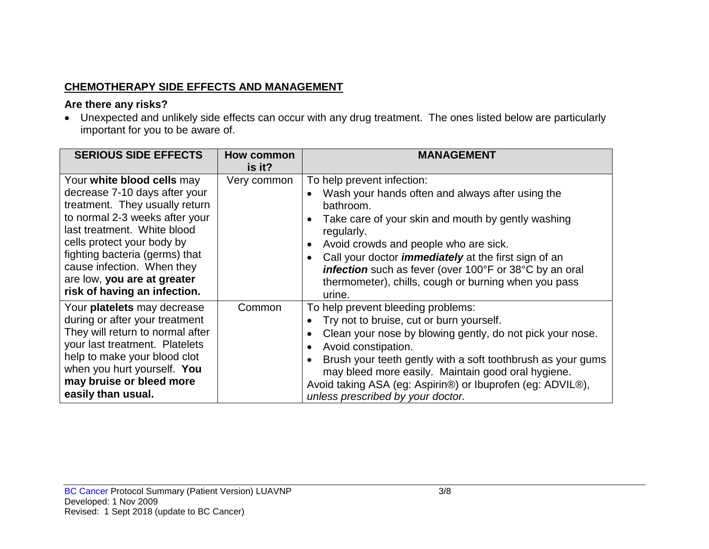# **CHEMOTHERAPY SIDE EFFECTS AND MANAGEMENT**

### **Are there any risks?**

• Unexpected and unlikely side effects can occur with any drug treatment. The ones listed below are particularly important for you to be aware of.

| <b>SERIOUS SIDE EFFECTS</b>                                                                                                                                                                                                                                                                                                 | <b>How common</b><br>is it? | <b>MANAGEMENT</b>                                                                                                                                                                                                                                                                                                                                                                                                                                       |
|-----------------------------------------------------------------------------------------------------------------------------------------------------------------------------------------------------------------------------------------------------------------------------------------------------------------------------|-----------------------------|---------------------------------------------------------------------------------------------------------------------------------------------------------------------------------------------------------------------------------------------------------------------------------------------------------------------------------------------------------------------------------------------------------------------------------------------------------|
| Your white blood cells may<br>decrease 7-10 days after your<br>treatment. They usually return<br>to normal 2-3 weeks after your<br>last treatment. White blood<br>cells protect your body by<br>fighting bacteria (germs) that<br>cause infection. When they<br>are low, you are at greater<br>risk of having an infection. | Very common                 | To help prevent infection:<br>Wash your hands often and always after using the<br>$\bullet$<br>bathroom.<br>Take care of your skin and mouth by gently washing<br>$\bullet$<br>regularly.<br>Avoid crowds and people who are sick.<br>$\bullet$<br>Call your doctor <i>immediately</i> at the first sign of an<br>$\bullet$<br>infection such as fever (over 100°F or 38°C by an oral<br>thermometer), chills, cough or burning when you pass<br>urine. |
| Your platelets may decrease<br>during or after your treatment<br>They will return to normal after<br>your last treatment. Platelets<br>help to make your blood clot<br>when you hurt yourself. You<br>may bruise or bleed more<br>easily than usual.                                                                        | Common                      | To help prevent bleeding problems:<br>Try not to bruise, cut or burn yourself.<br>$\bullet$<br>Clean your nose by blowing gently, do not pick your nose.<br>$\bullet$<br>Avoid constipation.<br>$\bullet$<br>Brush your teeth gently with a soft toothbrush as your gums<br>may bleed more easily. Maintain good oral hygiene.<br>Avoid taking ASA (eg: Aspirin®) or Ibuprofen (eg: ADVIL®),<br>unless prescribed by your doctor.                       |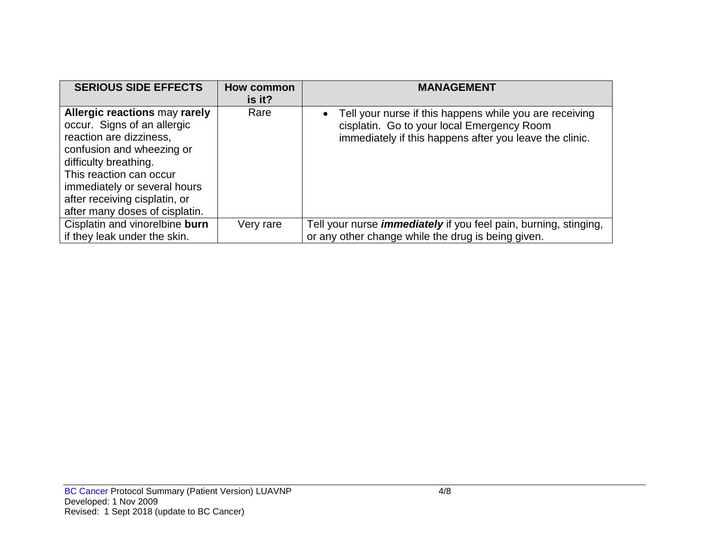| <b>SERIOUS SIDE EFFECTS</b>                                                                                                                                                                                                                                                 | <b>How common</b><br>is it? | <b>MANAGEMENT</b>                                                                                                                                                |
|-----------------------------------------------------------------------------------------------------------------------------------------------------------------------------------------------------------------------------------------------------------------------------|-----------------------------|------------------------------------------------------------------------------------------------------------------------------------------------------------------|
| Allergic reactions may rarely<br>occur. Signs of an allergic<br>reaction are dizziness,<br>confusion and wheezing or<br>difficulty breathing.<br>This reaction can occur<br>immediately or several hours<br>after receiving cisplatin, or<br>after many doses of cisplatin. | Rare                        | Tell your nurse if this happens while you are receiving<br>cisplatin. Go to your local Emergency Room<br>immediately if this happens after you leave the clinic. |
| Cisplatin and vinorelbine burn                                                                                                                                                                                                                                              | Very rare                   | Tell your nurse <i>immediately</i> if you feel pain, burning, stinging,                                                                                          |
| if they leak under the skin.                                                                                                                                                                                                                                                |                             | or any other change while the drug is being given.                                                                                                               |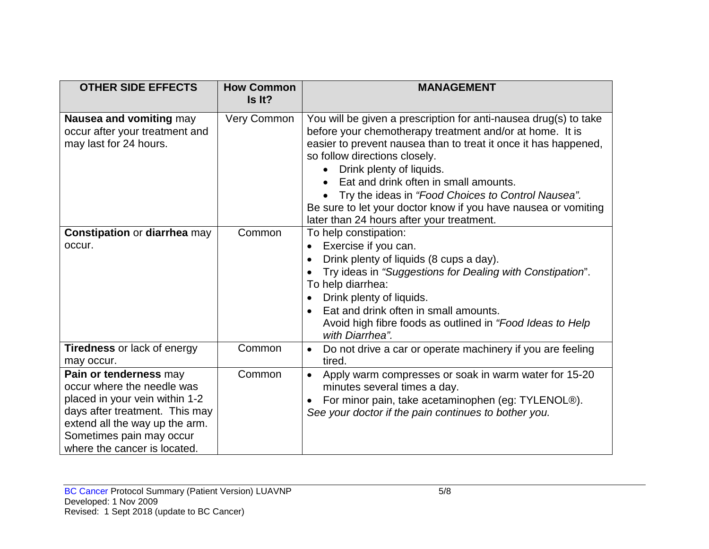| <b>OTHER SIDE EFFECTS</b>                                                                                                                                                                                              | <b>How Common</b><br>Is It? | <b>MANAGEMENT</b>                                                                                                                                                                                                                                                                                                                                                                                                                                                          |
|------------------------------------------------------------------------------------------------------------------------------------------------------------------------------------------------------------------------|-----------------------------|----------------------------------------------------------------------------------------------------------------------------------------------------------------------------------------------------------------------------------------------------------------------------------------------------------------------------------------------------------------------------------------------------------------------------------------------------------------------------|
| Nausea and vomiting may<br>occur after your treatment and<br>may last for 24 hours.                                                                                                                                    | Very Common                 | You will be given a prescription for anti-nausea drug(s) to take<br>before your chemotherapy treatment and/or at home. It is<br>easier to prevent nausea than to treat it once it has happened,<br>so follow directions closely.<br>Drink plenty of liquids.<br>Eat and drink often in small amounts.<br>Try the ideas in "Food Choices to Control Nausea".<br>Be sure to let your doctor know if you have nausea or vomiting<br>later than 24 hours after your treatment. |
| <b>Constipation or diarrhea may</b><br>occur.                                                                                                                                                                          | Common                      | To help constipation:<br>Exercise if you can.<br>Drink plenty of liquids (8 cups a day).<br>Try ideas in "Suggestions for Dealing with Constipation".<br>To help diarrhea:<br>Drink plenty of liquids.<br>$\bullet$<br>Eat and drink often in small amounts.<br>Avoid high fibre foods as outlined in "Food Ideas to Help<br>with Diarrhea".                                                                                                                               |
| <b>Tiredness or lack of energy</b><br>may occur.                                                                                                                                                                       | Common                      | Do not drive a car or operate machinery if you are feeling<br>$\bullet$<br>tired.                                                                                                                                                                                                                                                                                                                                                                                          |
| Pain or tenderness may<br>occur where the needle was<br>placed in your vein within 1-2<br>days after treatment. This may<br>extend all the way up the arm.<br>Sometimes pain may occur<br>where the cancer is located. | Common                      | Apply warm compresses or soak in warm water for 15-20<br>$\bullet$<br>minutes several times a day.<br>For minor pain, take acetaminophen (eg: TYLENOL®).<br>See your doctor if the pain continues to bother you.                                                                                                                                                                                                                                                           |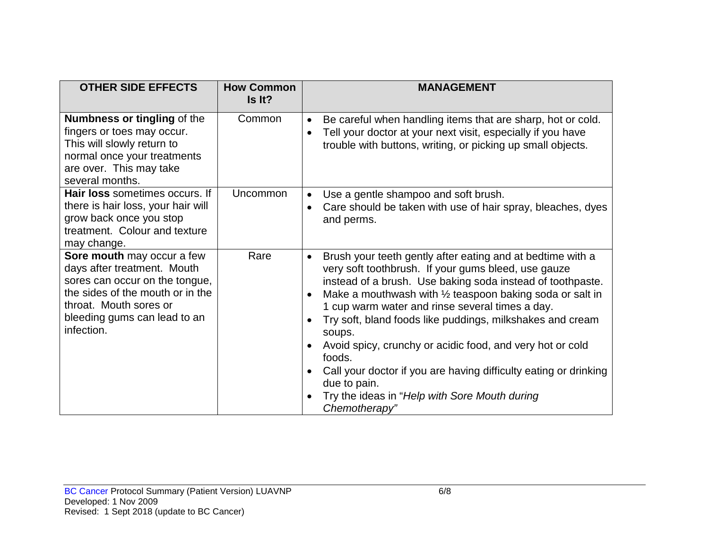| <b>OTHER SIDE EFFECTS</b>                                                                                                                                                                               | <b>How Common</b><br>Is It? | <b>MANAGEMENT</b>                                                                                                                                                                                                                                                                                                                                                                                                                                                                                                                                                                                                          |
|---------------------------------------------------------------------------------------------------------------------------------------------------------------------------------------------------------|-----------------------------|----------------------------------------------------------------------------------------------------------------------------------------------------------------------------------------------------------------------------------------------------------------------------------------------------------------------------------------------------------------------------------------------------------------------------------------------------------------------------------------------------------------------------------------------------------------------------------------------------------------------------|
| <b>Numbness or tingling of the</b><br>fingers or toes may occur.<br>This will slowly return to<br>normal once your treatments<br>are over. This may take<br>several months.                             | Common                      | Be careful when handling items that are sharp, hot or cold.<br>Tell your doctor at your next visit, especially if you have<br>$\bullet$<br>trouble with buttons, writing, or picking up small objects.                                                                                                                                                                                                                                                                                                                                                                                                                     |
| Hair loss sometimes occurs. If<br>there is hair loss, your hair will<br>grow back once you stop<br>treatment. Colour and texture<br>may change.                                                         | Uncommon                    | Use a gentle shampoo and soft brush.<br>$\bullet$<br>Care should be taken with use of hair spray, bleaches, dyes<br>$\bullet$<br>and perms.                                                                                                                                                                                                                                                                                                                                                                                                                                                                                |
| Sore mouth may occur a few<br>days after treatment. Mouth<br>sores can occur on the tongue,<br>the sides of the mouth or in the<br>throat. Mouth sores or<br>bleeding gums can lead to an<br>infection. | Rare                        | Brush your teeth gently after eating and at bedtime with a<br>$\bullet$<br>very soft toothbrush. If your gums bleed, use gauze<br>instead of a brush. Use baking soda instead of toothpaste.<br>Make a mouthwash with $\frac{1}{2}$ teaspoon baking soda or salt in<br>1 cup warm water and rinse several times a day.<br>Try soft, bland foods like puddings, milkshakes and cream<br>soups.<br>Avoid spicy, crunchy or acidic food, and very hot or cold<br>foods.<br>Call your doctor if you are having difficulty eating or drinking<br>due to pain.<br>Try the ideas in "Help with Sore Mouth during<br>Chemotherapy" |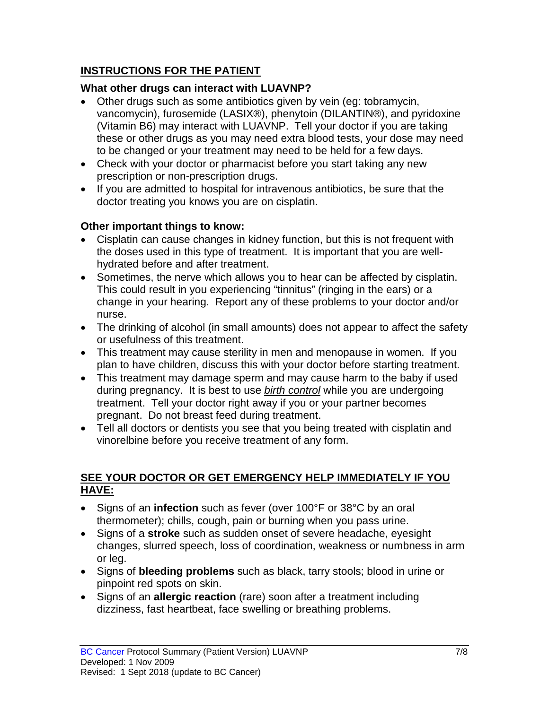# **INSTRUCTIONS FOR THE PATIENT**

# **What other drugs can interact with LUAVNP?**

- Other drugs such as some antibiotics given by vein (eg: tobramycin, vancomycin), furosemide (LASIX®), phenytoin (DILANTIN®), and pyridoxine (Vitamin B6) may interact with LUAVNP. Tell your doctor if you are taking these or other drugs as you may need extra blood tests, your dose may need to be changed or your treatment may need to be held for a few days.
- Check with your doctor or pharmacist before you start taking any new prescription or non-prescription drugs.
- If you are admitted to hospital for intravenous antibiotics, be sure that the doctor treating you knows you are on cisplatin.

## **Other important things to know:**

- Cisplatin can cause changes in kidney function, but this is not frequent with the doses used in this type of treatment. It is important that you are wellhydrated before and after treatment.
- Sometimes, the nerve which allows you to hear can be affected by cisplatin. This could result in you experiencing "tinnitus" (ringing in the ears) or a change in your hearing. Report any of these problems to your doctor and/or nurse.
- The drinking of alcohol (in small amounts) does not appear to affect the safety or usefulness of this treatment.
- This treatment may cause sterility in men and menopause in women. If you plan to have children, discuss this with your doctor before starting treatment.
- This treatment may damage sperm and may cause harm to the baby if used during pregnancy. It is best to use *birth control* while you are undergoing treatment. Tell your doctor right away if you or your partner becomes pregnant. Do not breast feed during treatment.
- Tell all doctors or dentists you see that you being treated with cisplatin and vinorelbine before you receive treatment of any form.

## **SEE YOUR DOCTOR OR GET EMERGENCY HELP IMMEDIATELY IF YOU HAVE:**

- Signs of an **infection** such as fever (over 100°F or 38°C by an oral thermometer); chills, cough, pain or burning when you pass urine.
- Signs of a **stroke** such as sudden onset of severe headache, eyesight changes, slurred speech, loss of coordination, weakness or numbness in arm or leg.
- Signs of **bleeding problems** such as black, tarry stools; blood in urine or pinpoint red spots on skin.
- Signs of an **allergic reaction** (rare) soon after a treatment including dizziness, fast heartbeat, face swelling or breathing problems.